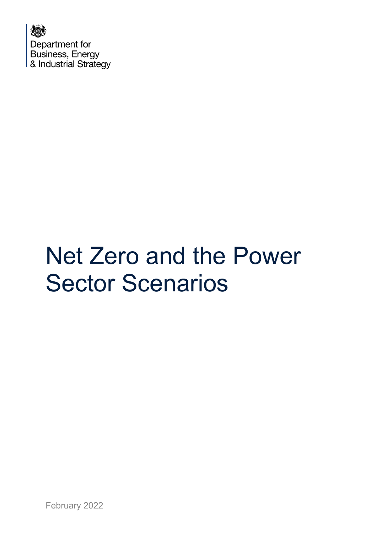人数 Department for Business, Energy & Industrial Strategy

## Net Zero and the Power Sector Scenarios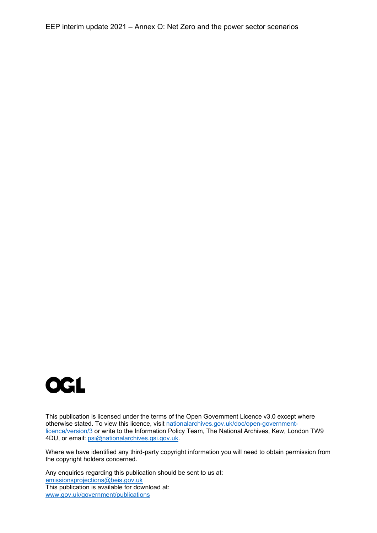

This publication is licensed under the terms of the Open Government Licence v3.0 except where otherwise stated. To view this licence, visit [nationalarchives.gov.uk/doc/open-government](http://nationalarchives.gov.uk/doc/open-government-licence/version/3/)[licence/version/3](http://nationalarchives.gov.uk/doc/open-government-licence/version/3/) or write to the Information Policy Team, The National Archives, Kew, London TW9 4DU, or email: [psi@nationalarchives.gsi.gov.uk.](mailto:psi@nationalarchives.gsi.gov.uk)

Where we have identified any third-party copyright information you will need to obtain permission from the copyright holders concerned.

Any enquiries regarding this publication should be sent to us at: [emissionsprojections@beis.gov.uk](mailto:emissionsprojections@beis.gov.uk) This publication is available for download at: [www.gov.uk/government/publications](http://www.gov.uk/government/publications)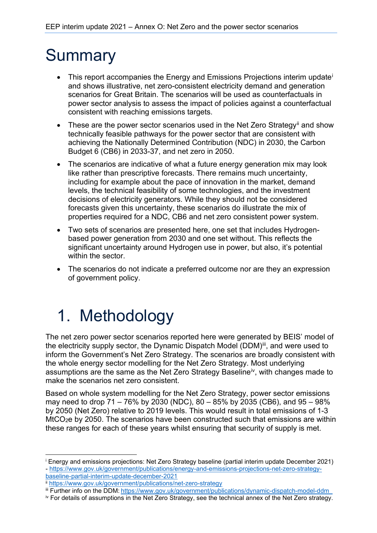## **Summary**

- Th[i](#page-2-0)s report accompanies the Energy and Emissions Projections interim update<sup>i</sup> and shows illustrative, net zero-consistent electricity demand and generation scenarios for Great Britain. The scenarios will be used as counterfactuals in power sector analysis to assess the impact of policies against a counterfactual consistent with reaching emissions targets.
- These are the power sector scenarios used in the Net Zero Strategy<sup>[ii](#page-2-1)</sup> and show technically feasible pathways for the power sector that are consistent with achieving the Nationally Determined Contribution (NDC) in 2030, the Carbon Budget 6 (CB6) in 2033-37, and net zero in 2050.
- The scenarios are indicative of what a future energy generation mix may look like rather than prescriptive forecasts. There remains much uncertainty, including for example about the pace of innovation in the market, demand levels, the technical feasibility of some technologies, and the investment decisions of electricity generators. While they should not be considered forecasts given this uncertainty, these scenarios do illustrate the mix of properties required for a NDC, CB6 and net zero consistent power system.
- Two sets of scenarios are presented here, one set that includes Hydrogenbased power generation from 2030 and one set without. This reflects the significant uncertainty around Hydrogen use in power, but also, it's potential within the sector
- The scenarios do not indicate a preferred outcome nor are they an expression of government policy.

## 1. Methodology

The net zero power sector scenarios reported here were generated by BEIS' model of the electricity supply sector, the Dynamic Dispatch Model (DDM)<sup>[iii](#page-2-2)</sup>, and were used to inform the Government's Net Zero Strategy. The scenarios are broadly consistent with the whole energy sector modelling for the Net Zero Strategy. Most underlying assumptions are the same as the Net Zero Strategy Baseline<sup>[iv](#page-2-3)</sup>, with changes made to make the scenarios net zero consistent.

Based on whole system modelling for the Net Zero Strategy, power sector emissions may need to drop 71 – 76% by 2030 (NDC), 80 – 85% by 2035 (CB6), and 95 – 98% by 2050 (Net Zero) relative to 2019 levels. This would result in total emissions of 1-3 MtCO2e by 2050. The scenarios have been constructed such that emissions are within these ranges for each of these years whilst ensuring that security of supply is met.

<span id="page-2-0"></span><sup>i</sup> Energy and emissions projections: Net Zero Strategy baseline (partial interim update December 2021) - [https://www.gov.uk/government/publications/energy-and-emissions-projections-net-zero-strategy](https://www.gov.uk/government/publications/energy-and-emissions-projections-net-zero-strategy-baseline-partial-interim-update-december-2021)[baseline-partial-interim-update-december-2021](https://www.gov.uk/government/publications/energy-and-emissions-projections-net-zero-strategy-baseline-partial-interim-update-december-2021)

<span id="page-2-1"></span>ii <https://www.gov.uk/government/publications/net-zero-strategy>

<span id="page-2-2"></span>iii Further info on the DDM: https://www.gov.uk/government/publications/dynamic-dispatch-model-ddm

<span id="page-2-3"></span>iv For details of assumptions in the Net Zero Strategy, see the technical annex of the Net Zero strategy.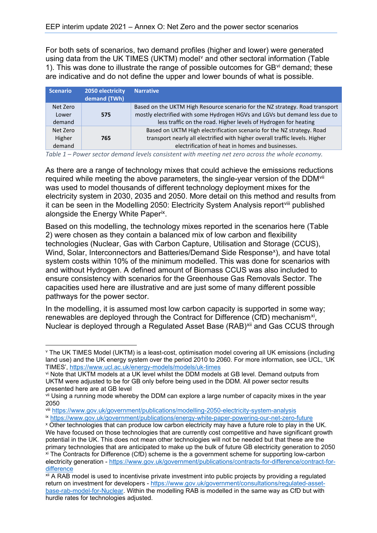For both sets of scenarios, two demand profiles (higher and lower) were generated using data from the UK TIMES (UKTM) model<sup>[v](#page-3-0)</sup> and other sectoral information (Table 1). This was done to illustrate the range of possible outcomes for  $GB<sup>vi</sup>$  $GB<sup>vi</sup>$  $GB<sup>vi</sup>$  demand; these are indicative and do not define the upper and lower bounds of what is possible.

|  | Scenario                     | 2050 electricity<br>demand (TWh) | <b>Narrative</b>                                                                                                                                                                                                              |
|--|------------------------------|----------------------------------|-------------------------------------------------------------------------------------------------------------------------------------------------------------------------------------------------------------------------------|
|  | Net Zero<br>Lower<br>demand  | 575                              | Based on the UKTM High Resource scenario for the NZ strategy. Road transport<br>mostly electrified with some Hydrogen HGVs and LGVs but demand less due to<br>less traffic on the road. Higher levels of Hydrogen for heating |
|  | Net Zero<br>Higher<br>demand | 765                              | Based on UKTM High electrification scenario for the NZ strategy. Road<br>transport nearly all electrified with higher overall traffic levels. Higher<br>electrification of heat in homes and businesses.                      |

*Table 1 – Power sector demand levels consistent with meeting net zero across the whole economy.*

As there are a range of technology mixes that could achieve the emissions reductions required while meeting the above parameters, the single-year version of the DDM<sup>[vii](#page-3-2)</sup> was used to model thousands of different technology deployment mixes for the electricity system in 2030, 2035 and 2050. More detail on this method and results from it can be seen in the Modelling 2050: Electricity System Analysis reportvilli published alongside the Energy White Paper[ix](#page-3-4).

Based on this modelling, the technology mixes reported in the scenarios here (Table 2) were chosen as they contain a balanced mix of low carbon and flexibility technologies (Nuclear, Gas with Carbon Capture, Utilisation and Storage (CCUS), Wind, Solar, Interconnectors and Batteries/Demand Side Response<sup>[x](#page-3-5)</sup>), and have total system costs within 10% of the minimum modelled. This was done for scenarios with and without Hydrogen. A defined amount of Biomass CCUS was also included to ensure consistency with scenarios for the Greenhouse Gas Removals Sector. The capacities used here are illustrative and are just some of many different possible pathways for the power sector.

In the modelling, it is assumed most low carbon capacity is supported in some way; renewables are deployed through the Contract for Difference (CfD) mechanism<sup>[xi](#page-3-6)</sup>, Nuclear is deployed through a Regulated Asset Base (RAB)<sup>[xii](#page-3-7)</sup> and Gas CCUS through

<span id="page-3-5"></span>

<span id="page-3-0"></span>v The UK TIMES Model (UKTM) is a least-cost, optimisation model covering all UK emissions (including land use) and the UK energy system over the period 2010 to 2060. For more information, see UCL, 'UK TIMES', https://www.ucl.ac.uk/energy-models/models/uk-times<br>vi Note that UKTM models at a UK level whilst the DDM models at GB level. Demand outputs from

<span id="page-3-1"></span>UKTM were adjusted to be for GB only before being used in the DDM. All power sector results presented here are at GB level

<span id="page-3-2"></span>vii Using a running mode whereby the DDM can explore a large number of capacity mixes in the year 2050

<span id="page-3-4"></span><span id="page-3-3"></span>will https://www.gov.uk/government/publications/modelling-2050-electricity-system-analysis<br>ix https://www.gov.uk/government/publications/energy-white-paper-powering-our-net-zero-future<br>x Other technologies that can produce We have focused on those technologies that are currently cost competitive and have significant growth potential in the UK. This does not mean other technologies will not be needed but that these are the primary technologies that are anticipated to make up the bulk of future GB electricity generation to 2050 xi The Contracts for Difference (CfD) scheme is the a government scheme for supporting low-carbon electricity generation - [https://www.gov.uk/government/publications/contracts-for-difference/contract-for](https://www.gov.uk/government/publications/contracts-for-difference/contract-for-difference)difference<br>xii A RAB model is used to incentivise private investment into public projects by providing a regulated

<span id="page-3-7"></span><span id="page-3-6"></span>return on investment for developers - [https://www.gov.uk/government/consultations/regulated-asset](https://www.gov.uk/government/consultations/regulated-asset-base-rab-model-for-nuclear)[base-rab-model-for-Nuclear.](https://www.gov.uk/government/consultations/regulated-asset-base-rab-model-for-nuclear) Within the modelling RAB is modelled in the same way as CfD but with hurdle rates for technologies adjusted.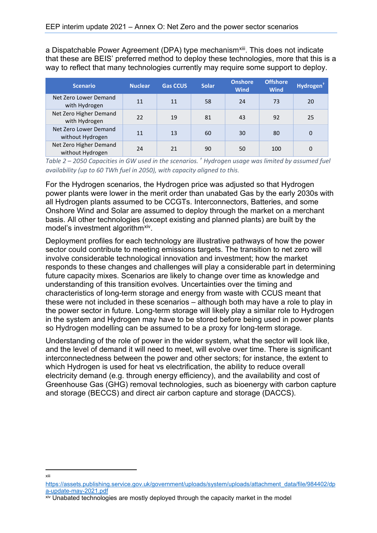a Dispatchable Power Agreement (DPA) type mechanism<sup>[xiii](#page-4-0)</sup>. This does not indicate that these are BEIS' preferred method to deploy these technologies, more that this is a way to reflect that many technologies currently may require some support to deploy.

| <b>Scenario</b>                            | <b>Nuclear</b> | <b>Gas CCUS</b> | <b>Solar</b> | <b>Onshore</b><br><b>Wind</b> | <b>Offshore</b><br><b>Wind</b> | Hydrogen <sup>+</sup> |
|--------------------------------------------|----------------|-----------------|--------------|-------------------------------|--------------------------------|-----------------------|
| Net Zero Lower Demand<br>with Hydrogen     | 11             | 11              | 58           | 24                            | 73                             | 20                    |
| Net Zero Higher Demand<br>with Hydrogen    | 22             | 19              | 81           | 43                            | 92                             | 25                    |
| Net Zero Lower Demand<br>without Hydrogen  | 11             | 13              | 60           | 30                            | 80                             | 0                     |
| Net Zero Higher Demand<br>without Hydrogen | 24             | 21              | 90           | 50                            | 100                            | 0                     |

*Table 2 – 2050 Capacities in GW used in the scenarios. † Hydrogen usage was limited by assumed fuel availability (up to 60 TWh fuel in 2050), with capacity aligned to this.* 

For the Hydrogen scenarios, the Hydrogen price was adjusted so that Hydrogen power plants were lower in the merit order than unabated Gas by the early 2030s with all Hydrogen plants assumed to be CCGTs. Interconnectors, Batteries, and some Onshore Wind and Solar are assumed to deploy through the market on a merchant basis. All other technologies (except existing and planned plants) are built by the model's investment algorithm<sup>xiv</sup>.

Deployment profiles for each technology are illustrative pathways of how the power sector could contribute to meeting emissions targets. The transition to net zero will involve considerable technological innovation and investment; how the market responds to these changes and challenges will play a considerable part in determining future capacity mixes. Scenarios are likely to change over time as knowledge and understanding of this transition evolves. Uncertainties over the timing and characteristics of long-term storage and energy from waste with CCUS meant that these were not included in these scenarios – although both may have a role to play in the power sector in future. Long-term storage will likely play a similar role to Hydrogen in the system and Hydrogen may have to be stored before being used in power plants so Hydrogen modelling can be assumed to be a proxy for long-term storage.

Understanding of the role of power in the wider system, what the sector will look like, and the level of demand it will need to meet, will evolve over time. There is significant interconnectedness between the power and other sectors; for instance, the extent to which Hydrogen is used for heat vs electrification, the ability to reduce overall electricity demand (e.g. through energy efficiency), and the availability and cost of Greenhouse Gas (GHG) removal technologies, such as bioenergy with carbon capture and storage (BECCS) and direct air carbon capture and storage (DACCS).

xiii

<span id="page-4-0"></span>[https://assets.publishing.service.gov.uk/government/uploads/system/uploads/attachment\\_data/file/984402/dp](https://assets.publishing.service.gov.uk/government/uploads/system/uploads/attachment_data/file/984402/dpa-update-may-2021.pdf)<br>a-update-may-2021.pdf

<span id="page-4-1"></span>xiv Unabated technologies are mostly deployed through the capacity market in the model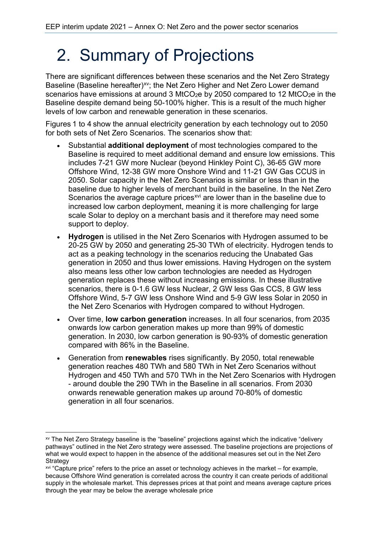## 2. Summary of Projections

There are significant differences between these scenarios and the Net Zero Strategy Baseline (Baseline hereafter)<sup>[xv](#page-5-0)</sup>; the Net Zero Higher and Net Zero Lower demand scenarios have emissions at around 3 MtCO $2e$  by 2050 compared to 12 MtCO $2e$  in the Baseline despite demand being 50-100% higher. This is a result of the much higher levels of low carbon and renewable generation in these scenarios.

Figures 1 to 4 show the annual electricity generation by each technology out to 2050 for both sets of Net Zero Scenarios. The scenarios show that:

- Substantial **additional deployment** of most technologies compared to the Baseline is required to meet additional demand and ensure low emissions. This includes 7-21 GW more Nuclear (beyond Hinkley Point C), 36-65 GW more Offshore Wind, 12-38 GW more Onshore Wind and 11-21 GW Gas CCUS in 2050. Solar capacity in the Net Zero Scenarios is similar or less than in the baseline due to higher levels of merchant build in the baseline. In the Net Zero Scenarios the average capture prices<sup>[xvi](#page-5-1)</sup> are lower than in the baseline due to increased low carbon deployment, meaning it is more challenging for large scale Solar to deploy on a merchant basis and it therefore may need some support to deploy.
- **Hydrogen** is utilised in the Net Zero Scenarios with Hydrogen assumed to be 20-25 GW by 2050 and generating 25-30 TWh of electricity. Hydrogen tends to act as a peaking technology in the scenarios reducing the Unabated Gas generation in 2050 and thus lower emissions. Having Hydrogen on the system also means less other low carbon technologies are needed as Hydrogen generation replaces these without increasing emissions. In these illustrative scenarios, there is 0-1.6 GW less Nuclear, 2 GW less Gas CCS, 8 GW less Offshore Wind, 5-7 GW less Onshore Wind and 5-9 GW less Solar in 2050 in the Net Zero Scenarios with Hydrogen compared to without Hydrogen.
- Over time, **low carbon generation** increases. In all four scenarios, from 2035 onwards low carbon generation makes up more than 99% of domestic generation. In 2030, low carbon generation is 90-93% of domestic generation compared with 86% in the Baseline.
- Generation from **renewables** rises significantly. By 2050, total renewable generation reaches 480 TWh and 580 TWh in Net Zero Scenarios without Hydrogen and 450 TWh and 570 TWh in the Net Zero Scenarios with Hydrogen - around double the 290 TWh in the Baseline in all scenarios. From 2030 onwards renewable generation makes up around 70-80% of domestic generation in all four scenarios.

<span id="page-5-0"></span>xv The Net Zero Strategy baseline is the "baseline" projections against which the indicative "delivery pathways" outlined in the Net Zero strategy were assessed. The baseline projections are projections of what we would expect to happen in the absence of the additional measures set out in the Net Zero **Strategy** 

<span id="page-5-1"></span>xvi "Capture price" refers to the price an asset or technology achieves in the market – for example, because Offshore Wind generation is correlated across the country it can create periods of additional supply in the wholesale market. This depresses prices at that point and means average capture prices through the year may be below the average wholesale price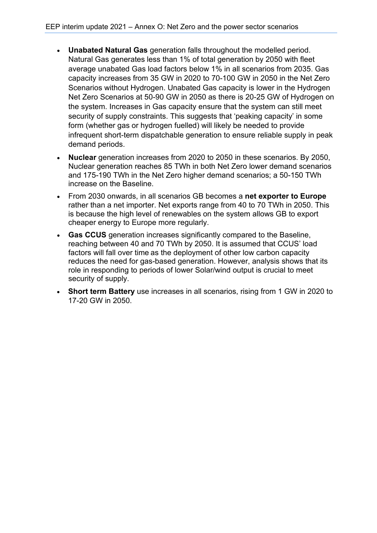- **Unabated Natural Gas** generation falls throughout the modelled period. Natural Gas generates less than 1% of total generation by 2050 with fleet average unabated Gas load factors below 1% in all scenarios from 2035. Gas capacity increases from 35 GW in 2020 to 70-100 GW in 2050 in the Net Zero Scenarios without Hydrogen. Unabated Gas capacity is lower in the Hydrogen Net Zero Scenarios at 50-90 GW in 2050 as there is 20-25 GW of Hydrogen on the system. Increases in Gas capacity ensure that the system can still meet security of supply constraints. This suggests that 'peaking capacity' in some form (whether gas or hydrogen fuelled) will likely be needed to provide infrequent short-term dispatchable generation to ensure reliable supply in peak demand periods.
- **Nuclear** generation increases from 2020 to 2050 in these scenarios. By 2050, Nuclear generation reaches 85 TWh in both Net Zero lower demand scenarios and 175-190 TWh in the Net Zero higher demand scenarios; a 50-150 TWh increase on the Baseline.
- From 2030 onwards, in all scenarios GB becomes a **net exporter to Europe** rather than a net importer. Net exports range from 40 to 70 TWh in 2050. This is because the high level of renewables on the system allows GB to export cheaper energy to Europe more regularly.
- **Gas CCUS** generation increases significantly compared to the Baseline, reaching between 40 and 70 TWh by 2050. It is assumed that CCUS' load factors will fall over time as the deployment of other low carbon capacity reduces the need for gas-based generation. However, analysis shows that its role in responding to periods of lower Solar/wind output is crucial to meet security of supply.
- **Short term Battery** use increases in all scenarios, rising from 1 GW in 2020 to 17-20 GW in 2050.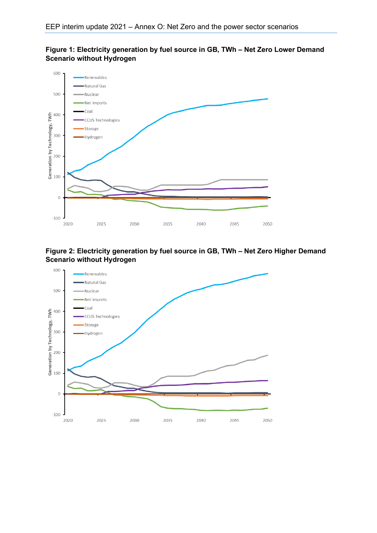





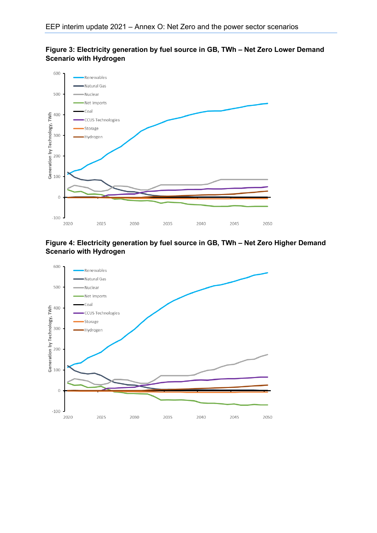



**Figure 4: Electricity generation by fuel source in GB, TWh – Net Zero Higher Demand Scenario with Hydrogen**